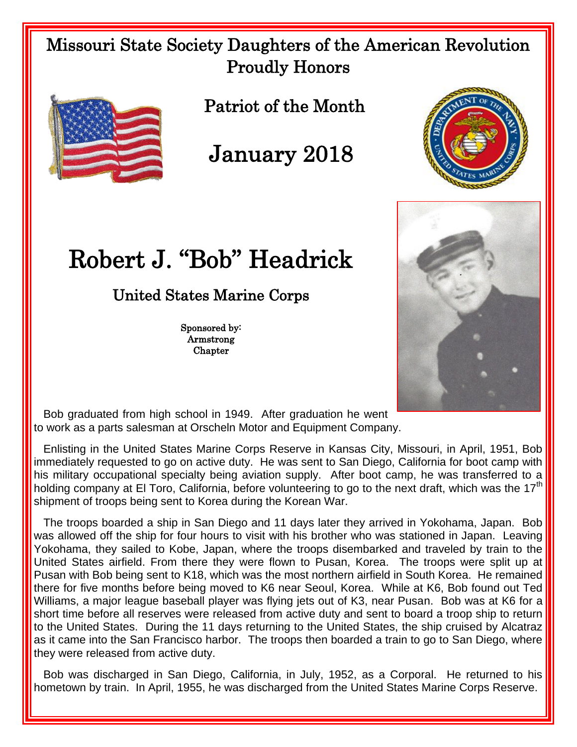## Missouri State Society Daughters of the American Revolution Proudly Honors



Patriot of the Month

January 2018

## Robert J. "Bob" Headrick

## United States Marine Corps

Sponsored by: Armstrong **Chapter** 





 Bob graduated from high school in 1949. After graduation he went to work as a parts salesman at Orscheln Motor and Equipment Company.

 Enlisting in the United States Marine Corps Reserve in Kansas City, Missouri, in April, 1951, Bob immediately requested to go on active duty. He was sent to San Diego, California for boot camp with his military occupational specialty being aviation supply. After boot camp, he was transferred to a holding company at El Toro, California, before volunteering to go to the next draft, which was the 17<sup>th</sup> shipment of troops being sent to Korea during the Korean War.

 The troops boarded a ship in San Diego and 11 days later they arrived in Yokohama, Japan. Bob was allowed off the ship for four hours to visit with his brother who was stationed in Japan. Leaving Yokohama, they sailed to Kobe, Japan, where the troops disembarked and traveled by train to the United States airfield. From there they were flown to Pusan, Korea. The troops were split up at Pusan with Bob being sent to K18, which was the most northern airfield in South Korea. He remained there for five months before being moved to K6 near Seoul, Korea. While at K6, Bob found out Ted Williams, a major league baseball player was flying jets out of K3, near Pusan. Bob was at K6 for a short time before all reserves were released from active duty and sent to board a troop ship to return to the United States. During the 11 days returning to the United States, the ship cruised by Alcatraz as it came into the San Francisco harbor. The troops then boarded a train to go to San Diego, where they were released from active duty.

 Bob was discharged in San Diego, California, in July, 1952, as a Corporal. He returned to his hometown by train. In April, 1955, he was discharged from the United States Marine Corps Reserve.